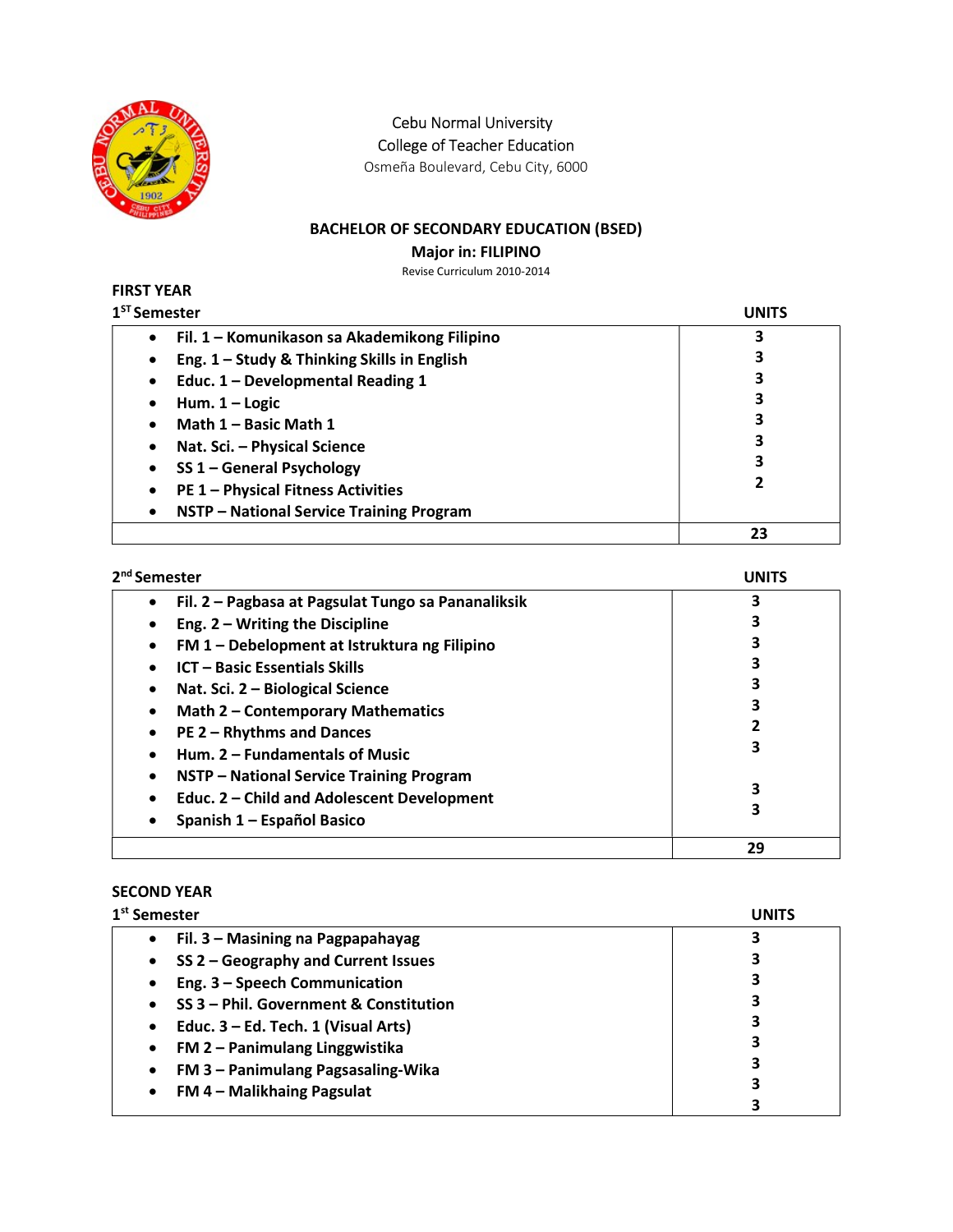

Cebu Normal University

College of Teacher Education

Osmeña Boulevard, Cebu City, 6000

## BACHELOR OF SECONDARY EDUCATION (BSED)

Major in: FILIPINO

Revise Curriculum 2010-2014

| <b>FIRST YEAR</b>                                         |              |
|-----------------------------------------------------------|--------------|
| 1 <sup>ST</sup> Semester                                  | <b>UNITS</b> |
| Fil. 1 - Komunikason sa Akademikong Filipino<br>$\bullet$ | 3            |
| Eng. 1 - Study & Thinking Skills in English<br>$\bullet$  | 3            |
| Educ. 1 - Developmental Reading 1<br>$\bullet$            | 3            |
| Hum. $1 -$ Logic<br>٠                                     | 3            |
| Math 1 - Basic Math 1<br>٠                                | 3            |
| Nat. Sci. - Physical Science<br>$\bullet$                 | 3            |
| SS 1 - General Psychology<br>٠                            | 3            |
| <b>PE 1 - Physical Fitness Activities</b><br>$\bullet$    | 2            |
| NSTP - National Service Training Program<br>$\bullet$     |              |
|                                                           | 23           |

| 2 <sup>nd</sup> Semester                                        | <b>UNITS</b> |
|-----------------------------------------------------------------|--------------|
| Fil. 2 - Pagbasa at Pagsulat Tungo sa Pananaliksik<br>$\bullet$ | 3            |
| Eng. $2 - W$ riting the Discipline<br>٠                         | 3            |
| FM 1 - Debelopment at Istruktura ng Filipino<br>$\bullet$       |              |
| <b>ICT - Basic Essentials Skills</b><br>$\bullet$               | 3            |
| Nat. Sci. 2 - Biological Science<br>٠                           | 3            |
| Math 2 - Contemporary Mathematics<br>$\bullet$                  | 3            |
| PE 2 - Rhythms and Dances<br>$\bullet$                          | 2            |
| Hum. 2 - Fundamentals of Music                                  | 3            |
| NSTP - National Service Training Program<br>٠                   |              |
| Educ. 2 - Child and Adolescent Development                      | 3            |
| Spanish 1 - Español Basico                                      | 3            |
|                                                                 | 29           |

## SECOND YEAR

| 1 <sup>st</sup> Semester                            | UNITS |
|-----------------------------------------------------|-------|
| Fil. 3 - Masining na Pagpapahayag<br>$\bullet$      |       |
| SS 2 - Geography and Current Issues<br>$\bullet$    |       |
| Eng. 3 - Speech Communication<br>$\bullet$          | 3     |
| SS 3 - Phil. Government & Constitution<br>$\bullet$ | 3     |
| Educ. 3 – Ed. Tech. 1 (Visual Arts)<br>$\bullet$    | з     |
| FM 2 - Panimulang Linggwistika<br>$\bullet$         | 3     |
| FM 3 - Panimulang Pagsasaling-Wika<br>$\bullet$     | 3     |
| FM 4 - Malikhaing Pagsulat<br>$\bullet$             | 3     |
|                                                     |       |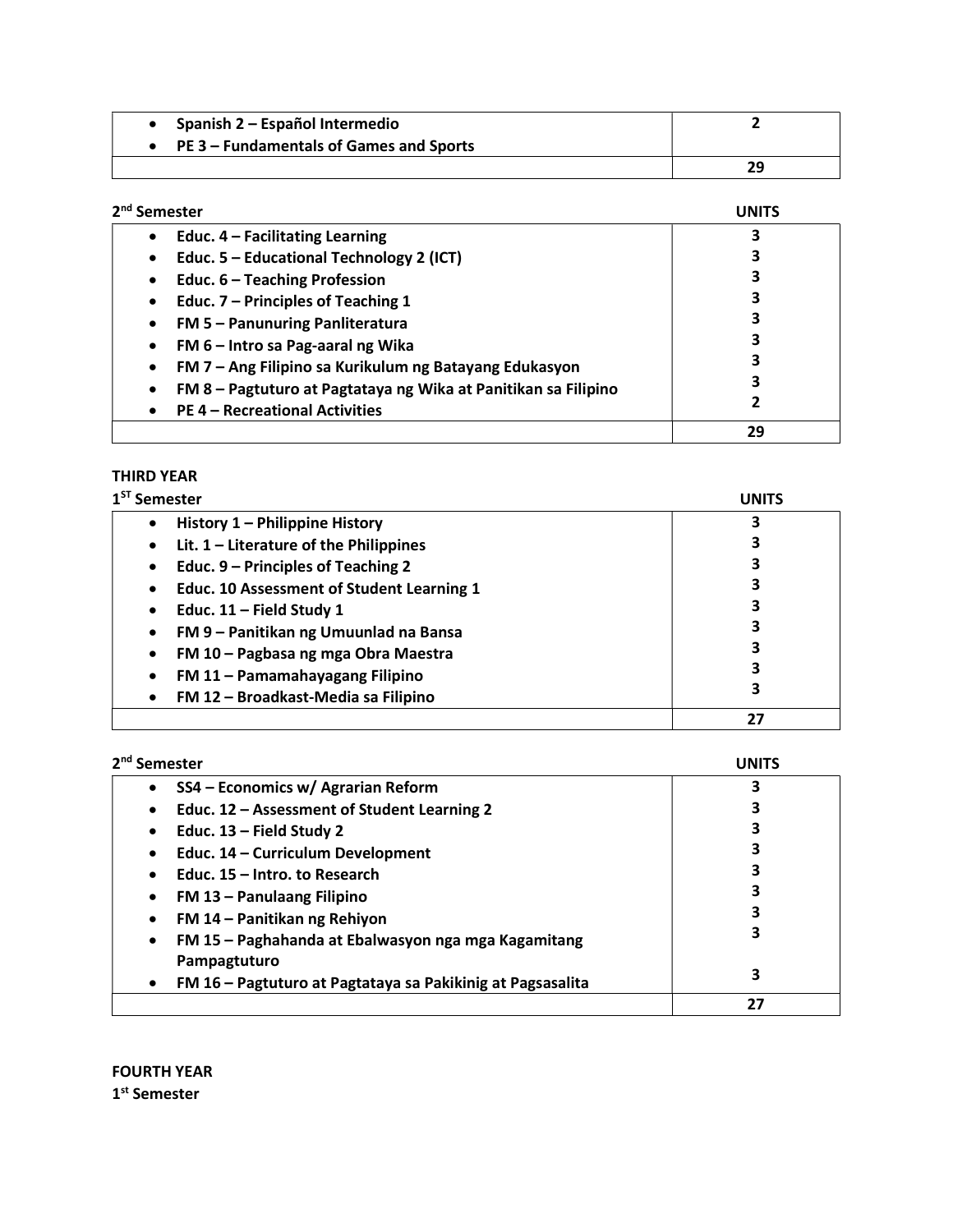| Spanish 2 – Español Intermedio            |    |
|-------------------------------------------|----|
| • PE 3 – Fundamentals of Games and Sports |    |
|                                           | 29 |

| 2 <sup>nd</sup> Semester                                       | UNITS |
|----------------------------------------------------------------|-------|
| Educ. 4 - Facilitating Learning<br>$\bullet$                   |       |
| Educ. 5 - Educational Technology 2 (ICT)<br>٠                  |       |
| Educ. 6 - Teaching Profession<br>$\bullet$                     |       |
| Educ. 7 - Principles of Teaching 1<br>٠                        |       |
| FM 5 - Panunuring Panliteratura<br>٠                           | 3     |
| FM 6 - Intro sa Pag-aaral ng Wika<br>$\bullet$                 | з     |
| FM 7 - Ang Filipino sa Kurikulum ng Batayang Edukasyon<br>٠    |       |
| FM 8 - Pagtuturo at Pagtataya ng Wika at Panitikan sa Filipino |       |
| <b>PE 4 – Recreational Activities</b>                          | 2     |
|                                                                | 29    |

## THIRD YEAR

| $1ST$ Semester                                                | <b>UNITS</b> |
|---------------------------------------------------------------|--------------|
| History 1 - Philippine History<br>$\bullet$                   |              |
| Lit. $1$ – Literature of the Philippines<br>$\bullet$         |              |
| Educ. 9 – Principles of Teaching 2<br>$\bullet$               | 3            |
| <b>Educ. 10 Assessment of Student Learning 1</b><br>$\bullet$ | 3            |
| Educ. $11$ – Field Study 1<br>٠                               |              |
| FM 9 - Panitikan ng Umuunlad na Bansa<br>٠                    | 3            |
| FM 10 - Pagbasa ng mga Obra Maestra<br>٠                      | 3            |
| FM 11 - Pamamahayagang Filipino<br>٠                          | з            |
| FM 12 - Broadkast-Media sa Filipino                           | 3            |
|                                                               | 27           |

| 2 <sup>nd</sup> Semester                                                        | <b>INIT</b> |
|---------------------------------------------------------------------------------|-------------|
| SS4 - Economics w/ Agrarian Reform<br>$\bullet$                                 | 3           |
| Educ. 12 - Assessment of Student Learning 2<br>$\bullet$                        | 3           |
| Educ. 13 - Field Study 2<br>٠                                                   | 3           |
| Educ. 14 - Curriculum Development<br>$\bullet$                                  | 3           |
| Educ. 15 – Intro. to Research<br>$\bullet$                                      | 3           |
| FM 13 - Panulaang Filipino<br>٠                                                 | 3           |
| FM 14 - Panitikan ng Rehiyon<br>٠                                               | 3           |
| FM 15 - Paghahanda at Ebalwasyon nga mga Kagamitang<br>$\bullet$                | 3           |
| Pampagtuturo<br>FM 16 - Pagtuturo at Pagtataya sa Pakikinig at Pagsasalita<br>٠ | 3           |
|                                                                                 | 27          |